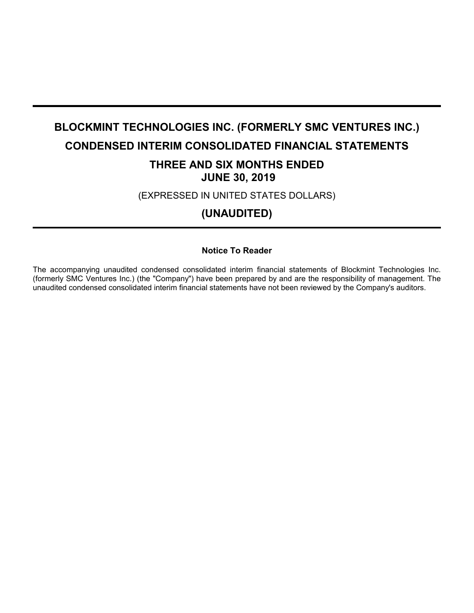# **BLOCKMINT TECHNOLOGIES INC. (FORMERLY SMC VENTURES INC.) CONDENSED INTERIM CONSOLIDATED FINANCIAL STATEMENTS**

# **THREE AND SIX MONTHS ENDED JUNE 30, 2019**

(EXPRESSED IN UNITED STATES DOLLARS)

**(UNAUDITED)**

# **Notice To Reader**

The accompanying unaudited condensed consolidated interim financial statements of Blockmint Technologies Inc. (formerly SMC Ventures Inc.) (the "Company") have been prepared by and are the responsibility of management. The unaudited condensed consolidated interim financial statements have not been reviewed by the Company's auditors.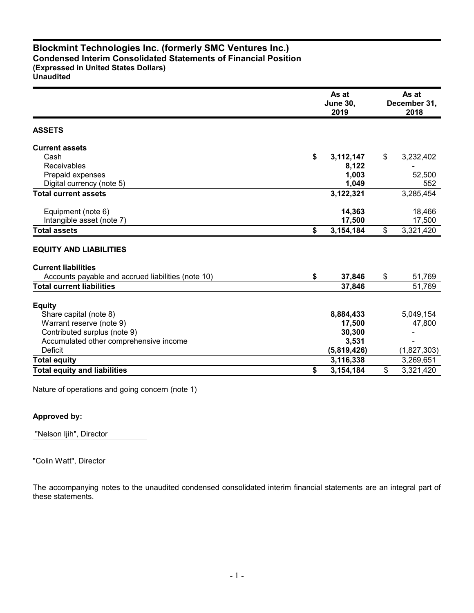# **Blockmint Technologies Inc. (formerly SMC Ventures Inc.) Condensed Interim Consolidated Statements of Financial Position (Expressed in United States Dollars)**

**Unaudited**

|                                                    | As at<br><b>June 30,</b><br>2019 |             |    | As at<br>December 31,<br>2018 |  |
|----------------------------------------------------|----------------------------------|-------------|----|-------------------------------|--|
| <b>ASSETS</b>                                      |                                  |             |    |                               |  |
| <b>Current assets</b>                              |                                  |             |    |                               |  |
| Cash                                               | \$                               | 3,112,147   | \$ | 3,232,402                     |  |
| Receivables                                        |                                  | 8,122       |    |                               |  |
| Prepaid expenses                                   |                                  | 1,003       |    | 52,500                        |  |
| Digital currency (note 5)                          |                                  | 1,049       |    | 552                           |  |
| <b>Total current assets</b>                        |                                  | 3,122,321   |    | 3,285,454                     |  |
| Equipment (note 6)                                 |                                  | 14,363      |    | 18,466                        |  |
| Intangible asset (note 7)                          |                                  | 17,500      |    | 17,500                        |  |
| <b>Total assets</b>                                | \$                               | 3,154,184   | \$ | 3,321,420                     |  |
| <b>EQUITY AND LIABILITIES</b>                      |                                  |             |    |                               |  |
| <b>Current liabilities</b>                         |                                  |             |    |                               |  |
| Accounts payable and accrued liabilities (note 10) | \$                               | 37,846      | \$ | 51,769                        |  |
| <b>Total current liabilities</b>                   |                                  | 37,846      |    | 51,769                        |  |
| <b>Equity</b>                                      |                                  |             |    |                               |  |
| Share capital (note 8)                             |                                  | 8,884,433   |    | 5,049,154                     |  |
| Warrant reserve (note 9)                           |                                  | 17,500      |    | 47,800                        |  |
| Contributed surplus (note 9)                       |                                  | 30,300      |    |                               |  |
| Accumulated other comprehensive income             |                                  | 3,531       |    |                               |  |
| Deficit                                            |                                  | (5,819,426) |    | (1,827,303)                   |  |
| <b>Total equity</b>                                |                                  | 3,116,338   |    | 3,269,651                     |  |
| <b>Total equity and liabilities</b>                | \$                               | 3,154,184   | \$ | 3,321,420                     |  |

Nature of operations and going concern (note 1)

## **Approved by:**

"Nelson Ijih", Director

"Colin Watt", Director

The accompanying notes to the unaudited condensed consolidated interim financial statements are an integral part of these statements.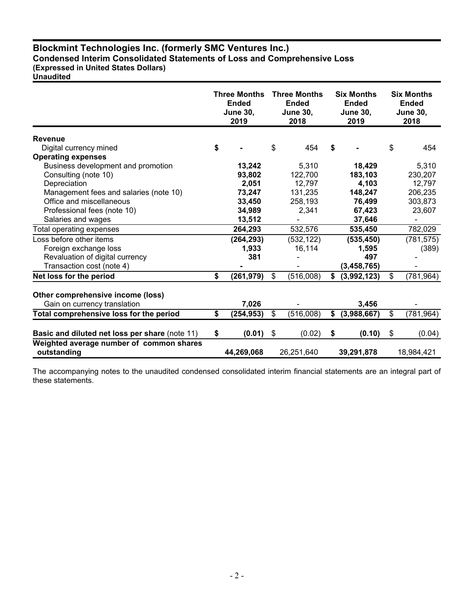# **Blockmint Technologies Inc. (formerly SMC Ventures Inc.) Condensed Interim Consolidated Statements of Loss and Comprehensive Loss**

**(Expressed in United States Dollars)**

**Unaudited**

|                                                         | <b>Three Months</b><br><b>Ended</b><br><b>June 30,</b><br>2019 |            | <b>Three Months</b><br><b>Ended</b><br><b>June 30,</b><br>2018 |            | <b>Six Months</b><br><b>Ended</b><br><b>June 30,</b><br>2019 | <b>Six Months</b><br><b>Ended</b><br><b>June 30,</b><br>2018 |
|---------------------------------------------------------|----------------------------------------------------------------|------------|----------------------------------------------------------------|------------|--------------------------------------------------------------|--------------------------------------------------------------|
| <b>Revenue</b>                                          |                                                                |            |                                                                |            |                                                              |                                                              |
| Digital currency mined                                  | \$                                                             |            | \$                                                             | 454        | \$                                                           | \$<br>454                                                    |
| <b>Operating expenses</b>                               |                                                                |            |                                                                |            |                                                              |                                                              |
| Business development and promotion                      |                                                                | 13,242     |                                                                | 5,310      | 18,429                                                       | 5,310                                                        |
| Consulting (note 10)                                    |                                                                | 93,802     |                                                                | 122,700    | 183,103                                                      | 230,207                                                      |
| Depreciation                                            |                                                                | 2,051      |                                                                | 12,797     | 4,103                                                        | 12,797                                                       |
| Management fees and salaries (note 10)                  |                                                                | 73,247     |                                                                | 131,235    | 148,247                                                      | 206,235                                                      |
| Office and miscellaneous                                |                                                                | 33,450     |                                                                | 258,193    | 76,499                                                       | 303,873                                                      |
| Professional fees (note 10)                             |                                                                | 34,989     |                                                                | 2,341      | 67,423                                                       | 23,607                                                       |
| Salaries and wages                                      |                                                                | 13,512     |                                                                |            | 37,646                                                       |                                                              |
| Total operating expenses                                |                                                                | 264,293    |                                                                | 532,576    | 535,450                                                      | 782,029                                                      |
| Loss before other items                                 |                                                                | (264, 293) |                                                                | (532, 122) | (535, 450)                                                   | (781, 575)                                                   |
| Foreign exchange loss                                   |                                                                | 1,933      |                                                                | 16,114     | 1,595                                                        | (389)                                                        |
| Revaluation of digital currency                         |                                                                | 381        |                                                                |            | 497                                                          |                                                              |
| Transaction cost (note 4)                               |                                                                |            |                                                                |            | (3, 458, 765)                                                |                                                              |
| Net loss for the period                                 | \$                                                             | (261, 979) | $\boldsymbol{\mathsf{s}}$                                      | (516,008)  | \$<br>(3,992,123)                                            | \$<br>(781, 964)                                             |
| Other comprehensive income (loss)                       |                                                                |            |                                                                |            |                                                              |                                                              |
| Gain on currency translation                            |                                                                | 7,026      |                                                                |            | 3,456                                                        |                                                              |
| Total comprehensive loss for the period                 | \$                                                             | (254, 953) | \$                                                             | (516,008)  | \$<br>(3,988,667)                                            | \$<br>(781, 964)                                             |
| Basic and diluted net loss per share (note 11)          | \$                                                             | (0.01)     | \$                                                             | (0.02)     | \$<br>(0.10)                                                 | \$<br>(0.04)                                                 |
| Weighted average number of common shares<br>outstanding |                                                                | 44,269,068 |                                                                | 26,251,640 | 39,291,878                                                   | 18,984,421                                                   |

The accompanying notes to the unaudited condensed consolidated interim financial statements are an integral part of these statements.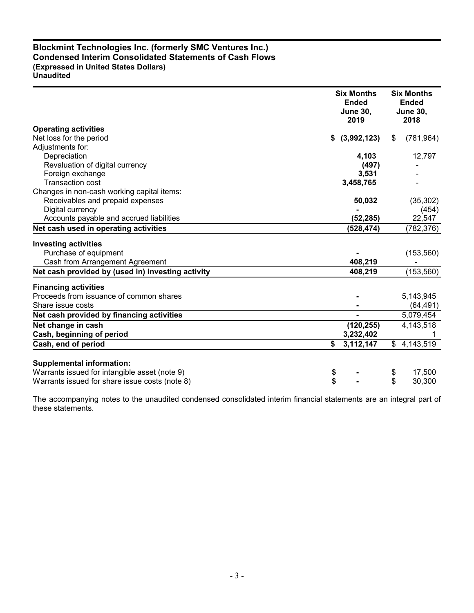## **Blockmint Technologies Inc. (formerly SMC Ventures Inc.) Condensed Interim Consolidated Statements of Cash Flows (Expressed in United States Dollars) Unaudited**

|                                                   | <b>Six Months</b><br><b>Ended</b><br><b>June 30,</b><br>2019 | <b>Six Months</b><br><b>Ended</b><br><b>June 30,</b><br>2018 |
|---------------------------------------------------|--------------------------------------------------------------|--------------------------------------------------------------|
| <b>Operating activities</b>                       |                                                              |                                                              |
| Net loss for the period                           | (3,992,123)<br>S.                                            | (781, 964)<br>\$                                             |
| Adjustments for:                                  |                                                              |                                                              |
| Depreciation                                      | 4,103                                                        | 12,797                                                       |
| Revaluation of digital currency                   | (497)                                                        |                                                              |
| Foreign exchange                                  | 3,531                                                        |                                                              |
| <b>Transaction cost</b>                           | 3,458,765                                                    |                                                              |
| Changes in non-cash working capital items:        |                                                              |                                                              |
| Receivables and prepaid expenses                  | 50,032                                                       | (35, 302)                                                    |
| Digital currency                                  |                                                              | (454)                                                        |
| Accounts payable and accrued liabilities          | (52, 285)                                                    | 22,547                                                       |
| Net cash used in operating activities             | (528, 474)                                                   | (782, 376)                                                   |
| <b>Investing activities</b>                       |                                                              |                                                              |
| Purchase of equipment                             |                                                              | (153, 560)                                                   |
| Cash from Arrangement Agreement                   | 408,219                                                      |                                                              |
| Net cash provided by (used in) investing activity | 408,219                                                      | (153, 560)                                                   |
| <b>Financing activities</b>                       |                                                              |                                                              |
| Proceeds from issuance of common shares           |                                                              | 5,143,945                                                    |
| Share issue costs                                 |                                                              | (64, 491)                                                    |
| Net cash provided by financing activities         |                                                              | 5,079,454                                                    |
| Net change in cash                                | (120, 255)                                                   | 4,143,518                                                    |
| Cash, beginning of period                         | 3,232,402                                                    |                                                              |
| Cash, end of period                               | \$<br>3,112,147                                              | \$4,143,519                                                  |
|                                                   |                                                              |                                                              |
| <b>Supplemental information:</b>                  |                                                              |                                                              |
| Warrants issued for intangible asset (note 9)     | \$                                                           | 17,500<br>\$                                                 |
| Warrants issued for share issue costs (note 8)    | \$                                                           | \$<br>30,300                                                 |

The accompanying notes to the unaudited condensed consolidated interim financial statements are an integral part of these statements.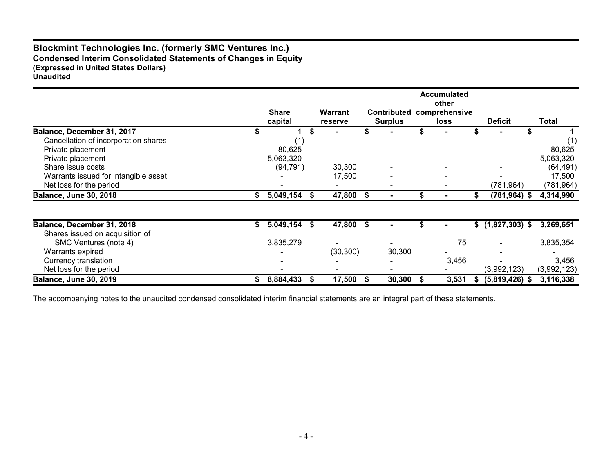# **Blockmint Technologies Inc. (formerly SMC Ventures Inc.) Condensed Interim Consolidated Statements of Changes in Equity (Expressed in United States Dollars) Unaudited**

|                                      |    | <b>Share</b> |    | Warrant   |                                      | <b>Accumulated</b><br>other  |                   |             |
|--------------------------------------|----|--------------|----|-----------|--------------------------------------|------------------------------|-------------------|-------------|
|                                      |    | capital      |    | reserve   | <b>Contributed</b><br><b>Surplus</b> | comprehensive<br><b>loss</b> | <b>Deficit</b>    | Total       |
| Balance, December 31, 2017           |    |              | \$ |           |                                      |                              |                   |             |
| Cancellation of incorporation shares |    | (1)          |    |           |                                      |                              |                   |             |
| Private placement                    |    | 80,625       |    |           |                                      |                              |                   | 80,625      |
| Private placement                    |    | 5,063,320    |    |           |                                      |                              |                   | 5,063,320   |
| Share issue costs                    |    | (94, 791)    |    | 30,300    |                                      |                              |                   | (64, 491)   |
| Warrants issued for intangible asset |    |              |    | 17,500    |                                      |                              |                   | 17,500      |
| Net loss for the period              |    |              |    |           |                                      |                              | (781, 964)        | (781, 964)  |
| <b>Balance, June 30, 2018</b>        |    | 5,049,154    |    | 47,800 \$ |                                      |                              | $(781, 964)$ \$   | 4,314,990   |
|                                      |    |              |    |           |                                      |                              |                   |             |
| Balance, December 31, 2018           | S. | 5,049,154    | S  | 47,800 \$ |                                      |                              | $$(1,827,303)$ \$ | 3,269,651   |
| Shares issued on acquisition of      |    |              |    |           |                                      |                              |                   |             |
| SMC Ventures (note 4)                |    | 3,835,279    |    |           |                                      | 75                           |                   | 3,835,354   |
| Warrants expired                     |    |              |    | (30, 300) | 30,300                               |                              |                   |             |
| <b>Currency translation</b>          |    |              |    |           |                                      | 3,456                        |                   | 3,456       |
| Net loss for the period              |    |              |    |           |                                      |                              | (3,992,123)       | (3,992,123) |
| <b>Balance, June 30, 2019</b>        |    | 8,884,433    |    | 17,500    | 30,300                               | 3,531                        | $(5,819,426)$ \$  | 3,116,338   |

The accompanying notes to the unaudited condensed consolidated interim financial statements are an integral part of these statements.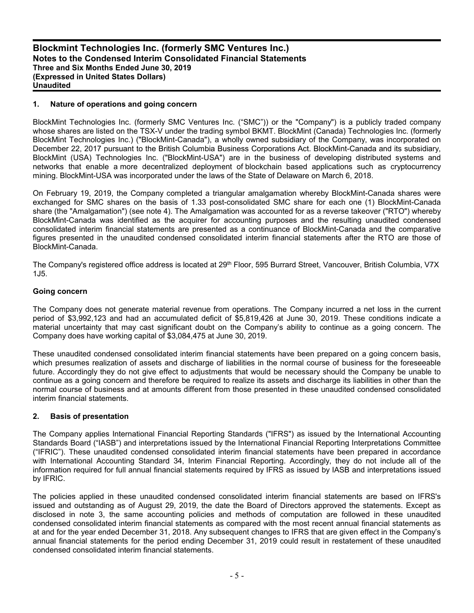#### **1. Nature of operations and going concern**

BlockMint Technologies Inc. (formerly SMC Ventures Inc. ("SMC")) or the "Company") is a publicly traded company whose shares are listed on the TSX-V under the trading symbol BKMT. BlockMint (Canada) Technologies Inc. (formerly BlockMint Technologies Inc.) ("BlockMint-Canada"), a wholly owned subsidiary of the Company, was incorporated on December 22, 2017 pursuant to the British Columbia Business Corporations Act. BlockMint-Canada and its subsidiary, BlockMint (USA) Technologies Inc. ("BlockMint-USA") are in the business of developing distributed systems and networks that enable a more decentralized deployment of blockchain based applications such as cryptocurrency mining. BlockMint-USA was incorporated under the laws of the State of Delaware on March 6, 2018.

On February 19, 2019, the Company completed a triangular amalgamation whereby BlockMint-Canada shares were exchanged for SMC shares on the basis of 1.33 post-consolidated SMC share for each one (1) BlockMint-Canada share (the "Amalgamation") (see note 4). The Amalgamation was accounted for as a reverse takeover ("RTO") whereby BlockMint-Canada was identified as the acquirer for accounting purposes and the resulting unaudited condensed consolidated interim financial statements are presented as a continuance of BlockMint-Canada and the comparative figures presented in the unaudited condensed consolidated interim financial statements after the RTO are those of BlockMint-Canada.

The Company's registered office address is located at 29<sup>th</sup> Floor, 595 Burrard Street, Vancouver, British Columbia, V7X 1J5.

#### **Going concern**

The Company does not generate material revenue from operations. The Company incurred a net loss in the current period of \$3,992,123 and had an accumulated deficit of \$5,819,426 at June 30, 2019. These conditions indicate a material uncertainty that may cast significant doubt on the Company's ability to continue as a going concern. The Company does have working capital of \$3,084,475 at June 30, 2019.

These unaudited condensed consolidated interim financial statements have been prepared on a going concern basis, which presumes realization of assets and discharge of liabilities in the normal course of business for the foreseeable future. Accordingly they do not give effect to adjustments that would be necessary should the Company be unable to continue as a going concern and therefore be required to realize its assets and discharge its liabilities in other than the normal course of business and at amounts different from those presented in these unaudited condensed consolidated interim financial statements.

#### **2. Basis of presentation**

The Company applies International Financial Reporting Standards ("IFRS") as issued by the International Accounting Standards Board ("IASB") and interpretations issued by the International Financial Reporting Interpretations Committee ("IFRIC"). These unaudited condensed consolidated interim financial statements have been prepared in accordance with International Accounting Standard 34, Interim Financial Reporting. Accordingly, they do not include all of the information required for full annual financial statements required by IFRS as issued by IASB and interpretations issued by IFRIC.

The policies applied in these unaudited condensed consolidated interim financial statements are based on IFRS's issued and outstanding as of August 29, 2019, the date the Board of Directors approved the statements. Except as disclosed in note 3, the same accounting policies and methods of computation are followed in these unaudited condensed consolidated interim financial statements as compared with the most recent annual financial statements as at and for the year ended December 31, 2018. Any subsequent changes to IFRS that are given effect in the Company's annual financial statements for the period ending December 31, 2019 could result in restatement of these unaudited condensed consolidated interim financial statements.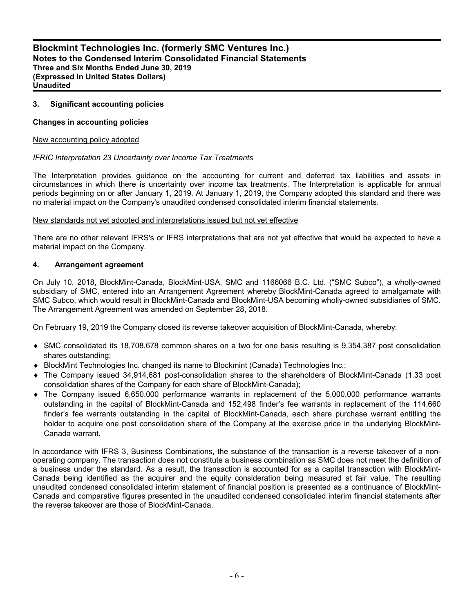#### **3. Significant accounting policies**

#### **Changes in accounting policies**

#### New accounting policy adopted

#### *IFRIC Interpretation 23 Uncertainty over Income Tax Treatments*

The Interpretation provides guidance on the accounting for current and deferred tax liabilities and assets in circumstances in which there is uncertainty over income tax treatments. The Interpretation is applicable for annual periods beginning on or after January 1, 2019. At January 1, 2019, the Company adopted this standard and there was no material impact on the Company's unaudited condensed consolidated interim financial statements.

#### New standards not yet adopted and interpretations issued but not yet effective

There are no other relevant IFRS's or IFRS interpretations that are not yet effective that would be expected to have a material impact on the Company.

#### **4. Arrangement agreement**

On July 10, 2018, BlockMint-Canada, BlockMint-USA, SMC and 1166066 B.C. Ltd. ("SMC Subco"), a wholly-owned subsidiary of SMC, entered into an Arrangement Agreement whereby BlockMint-Canada agreed to amalgamate with SMC Subco, which would result in BlockMint-Canada and BlockMint-USA becoming wholly-owned subsidiaries of SMC. The Arrangement Agreement was amended on September 28, 2018.

On February 19, 2019 the Company closed its reverse takeover acquisition of BlockMint-Canada, whereby:

- SMC consolidated its 18,708,678 common shares on a two for one basis resulting is 9,354,387 post consolidation shares outstanding;
- ◆ BlockMint Technologies Inc. changed its name to Blockmint (Canada) Technologies Inc.;
- The Company issued 34,914,681 post-consolidation shares to the shareholders of BlockMint-Canada (1.33 post consolidation shares of the Company for each share of BlockMint-Canada);
- The Company issued 6,650,000 performance warrants in replacement of the 5,000,000 performance warrants outstanding in the capital of BlockMint-Canada and 152,498 finder's fee warrants in replacement of the 114,660 finder's fee warrants outstanding in the capital of BlockMint-Canada, each share purchase warrant entitling the holder to acquire one post consolidation share of the Company at the exercise price in the underlying BlockMint-Canada warrant.

In accordance with IFRS 3, Business Combinations, the substance of the transaction is a reverse takeover of a nonoperating company. The transaction does not constitute a business combination as SMC does not meet the definition of a business under the standard. As a result, the transaction is accounted for as a capital transaction with BlockMint-Canada being identified as the acquirer and the equity consideration being measured at fair value. The resulting unaudited condensed consolidated interim statement of financial position is presented as a continuance of BlockMint-Canada and comparative figures presented in the unaudited condensed consolidated interim financial statements after the reverse takeover are those of BlockMint-Canada.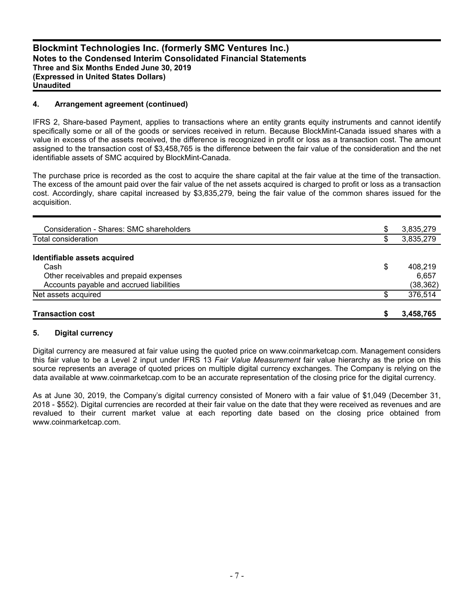#### **4. Arrangement agreement (continued)**

IFRS 2, Share-based Payment, applies to transactions where an entity grants equity instruments and cannot identify specifically some or all of the goods or services received in return. Because BlockMint-Canada issued shares with a value in excess of the assets received, the difference is recognized in profit or loss as a transaction cost. The amount assigned to the transaction cost of \$3,458,765 is the difference between the fair value of the consideration and the net identifiable assets of SMC acquired by BlockMint-Canada.

The purchase price is recorded as the cost to acquire the share capital at the fair value at the time of the transaction. The excess of the amount paid over the fair value of the net assets acquired is charged to profit or loss as a transaction cost. Accordingly, share capital increased by \$3,835,279, being the fair value of the common shares issued for the acquisition.

| <b>Transaction cost</b>                  | S  | 3,458,765 |
|------------------------------------------|----|-----------|
| Net assets acquired                      | £. | 376,514   |
| Accounts payable and accrued liabilities |    | (38, 362) |
| Other receivables and prepaid expenses   |    | 6.657     |
| Cash                                     | \$ | 408,219   |
| Identifiable assets acquired             |    |           |
| Total consideration                      | \$ | 3,835,279 |
|                                          | \$ | 3,835,279 |
| Consideration - Shares: SMC shareholders |    |           |

#### **5. Digital currency**

Digital currency are measured at fair value using the quoted price on www.coinmarketcap.com. Management considers this fair value to be a Level 2 input under IFRS 13 *Fair Value Measurement* fair value hierarchy as the price on this source represents an average of quoted prices on multiple digital currency exchanges. The Company is relying on the data available at www.coinmarketcap.com to be an accurate representation of the closing price for the digital currency.

As at June 30, 2019, the Company's digital currency consisted of Monero with a fair value of \$1,049 (December 31, 2018 - \$552). Digital currencies are recorded at their fair value on the date that they were received as revenues and are revalued to their current market value at each reporting date based on the closing price obtained from www.coinmarketcap.com.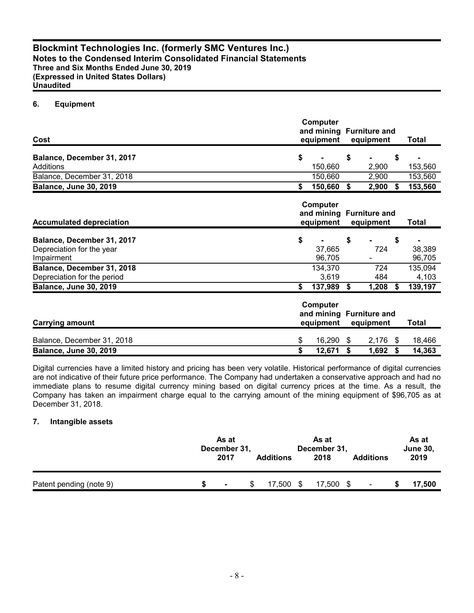## **6. Equipment**

| Cost                            | Computer<br>and mining Furniture and<br>equipment              | <b>Total</b>                         |    |              |     |              |
|---------------------------------|----------------------------------------------------------------|--------------------------------------|----|--------------|-----|--------------|
| Balance, December 31, 2017      | \$                                                             |                                      | \$ |              | \$  |              |
| Additions                       |                                                                | 150,660                              |    | 2,900        |     | 153,560      |
| Balance, December 31, 2018      |                                                                | 150,660                              |    | 2,900        |     | 153,560      |
| <b>Balance, June 30, 2019</b>   | \$                                                             | 150,660                              | \$ | 2,900        | Ŝ.  | 153,560      |
| <b>Accumulated depreciation</b> | Computer<br>and mining Furniture and<br>equipment<br>equipment |                                      |    | <b>Total</b> |     |              |
|                                 |                                                                |                                      |    |              |     |              |
| Balance, December 31, 2017      | \$                                                             |                                      | \$ |              | \$  |              |
| Depreciation for the year       |                                                                | 37,665                               |    | 724          |     | 38,389       |
| Impairment                      |                                                                | 96,705                               |    |              |     | 96,705       |
| Balance, December 31, 2018      |                                                                | 134,370                              |    | 724          |     | 135,094      |
| Depreciation for the period     |                                                                | 3,619                                |    | 484          |     | 4,103        |
| <b>Balance, June 30, 2019</b>   | \$                                                             | 137,989                              | \$ | 1,208        | \$  | 139,197      |
|                                 |                                                                | Computer<br>and mining Furniture and |    |              |     |              |
| <b>Carrying amount</b>          |                                                                | equipment                            |    | equipment    |     | <b>Total</b> |
| Balance, December 31, 2018      | \$                                                             | 16,290                               | \$ | 2,176        | - S | 18,466       |
| <b>Balance, June 30, 2019</b>   | \$                                                             | 12,671                               | \$ | 1,692        | S   | 14,363       |

Digital currencies have a limited history and pricing has been very volatile. Historical performance of digital currencies are not indicative of their future price performance. The Company had undertaken a conservative approach and had no immediate plans to resume digital currency mining based on digital currency prices at the time. As a result, the Company has taken an impairment charge equal to the carrying amount of the mining equipment of \$96,705 as at December 31, 2018.

## **7. Intangible assets**

|                         | As at<br>December 31,<br>2017 | <b>Additions</b> |   | As at<br>December 31,<br>2018 | <b>Additions</b> | As at<br><b>June 30,</b><br>2019 |
|-------------------------|-------------------------------|------------------|---|-------------------------------|------------------|----------------------------------|
| Patent pending (note 9) | $\blacksquare$                | 7.500            | S | 17,500<br>- \$                |                  | 17,500                           |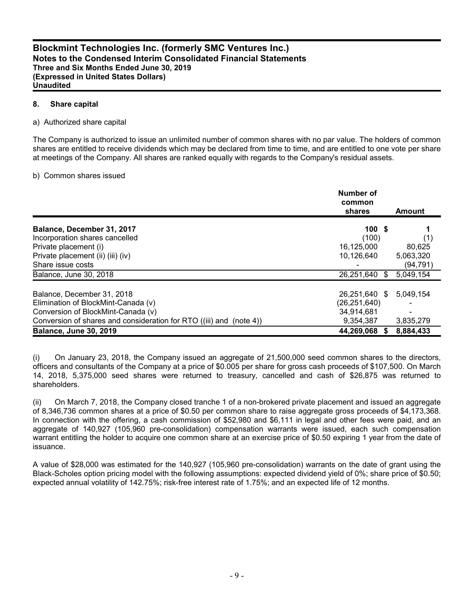#### **8. Share capital**

#### a) Authorized share capital

The Company is authorized to issue an unlimited number of common shares with no par value. The holders of common shares are entitled to receive dividends which may be declared from time to time, and are entitled to one vote per share at meetings of the Company. All shares are ranked equally with regards to the Company's residual assets.

#### b) Common shares issued

|                                                                     | Number of<br>common<br>shares | Amount    |
|---------------------------------------------------------------------|-------------------------------|-----------|
| Balance, December 31, 2017                                          | 100S                          |           |
| Incorporation shares cancelled                                      | (100)                         | (1)       |
| Private placement (i)                                               | 16,125,000                    | 80.625    |
| Private placement (ii) (iii) (iv)                                   | 10.126.640                    | 5,063,320 |
| Share issue costs                                                   |                               | (94,791)  |
| Balance, June 30, 2018                                              | 26,251,640 \$                 | 5,049,154 |
| Balance, December 31, 2018                                          | 26,251,640 \$                 | 5,049,154 |
| Elimination of BlockMint-Canada (v)                                 | (26, 251, 640)                |           |
| Conversion of BlockMint-Canada (v)                                  | 34,914,681                    |           |
| Conversion of shares and consideration for RTO ((iii) and (note 4)) | 9,354,387                     | 3,835,279 |
| <b>Balance, June 30, 2019</b>                                       | 44,269,068                    | 8,884,433 |

(i) On January 23, 2018, the Company issued an aggregate of 21,500,000 seed common shares to the directors, officers and consultants of the Company at a price of \$0.005 per share for gross cash proceeds of \$107,500. On March 14, 2018, 5,375,000 seed shares were returned to treasury, cancelled and cash of \$26,875 was returned to shareholders.

(ii) On March 7, 2018, the Company closed tranche 1 of a non-brokered private placement and issued an aggregate of 8,346,736 common shares at a price of \$0.50 per common share to raise aggregate gross proceeds of \$4,173,368. In connection with the offering, a cash commission of \$52,980 and \$6,111 in legal and other fees were paid, and an aggregate of 140,927 (105,960 pre-consolidation) compensation warrants were issued, each such compensation warrant entitling the holder to acquire one common share at an exercise price of \$0.50 expiring 1 year from the date of issuance.

A value of \$28,000 was estimated for the 140,927 (105,960 pre-consolidation) warrants on the date of grant using the Black-Scholes option pricing model with the following assumptions: expected dividend yield of 0%; share price of \$0.50; expected annual volatility of 142.75%; risk-free interest rate of 1.75%; and an expected life of 12 months.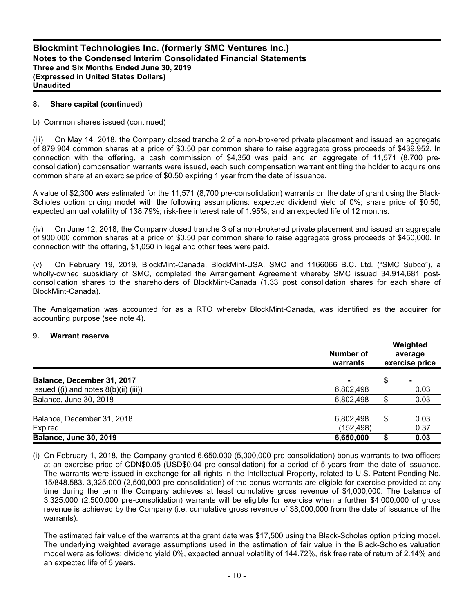#### **8. Share capital (continued)**

#### b) Common shares issued (continued)

(iii) On May 14, 2018, the Company closed tranche 2 of a non-brokered private placement and issued an aggregate of 879,904 common shares at a price of \$0.50 per common share to raise aggregate gross proceeds of \$439,952. In connection with the offering, a cash commission of \$4,350 was paid and an aggregate of 11,571 (8,700 preconsolidation) compensation warrants were issued, each such compensation warrant entitling the holder to acquire one common share at an exercise price of \$0.50 expiring 1 year from the date of issuance.

A value of \$2,300 was estimated for the 11,571 (8,700 pre-consolidation) warrants on the date of grant using the Black-Scholes option pricing model with the following assumptions: expected dividend yield of 0%; share price of \$0.50; expected annual volatility of 138.79%; risk-free interest rate of 1.95%; and an expected life of 12 months.

(iv) On June 12, 2018, the Company closed tranche 3 of a non-brokered private placement and issued an aggregate of 900,000 common shares at a price of \$0.50 per common share to raise aggregate gross proceeds of \$450,000. In connection with the offering, \$1,050 in legal and other fees were paid.

(v) On February 19, 2019, BlockMint-Canada, BlockMint-USA, SMC and 1166066 B.C. Ltd. ("SMC Subco"), a wholly-owned subsidiary of SMC, completed the Arrangement Agreement whereby SMC issued 34,914,681 postconsolidation shares to the shareholders of BlockMint-Canada (1.33 post consolidation shares for each share of BlockMint-Canada).

The Amalgamation was accounted for as a RTO whereby BlockMint-Canada, was identified as the acquirer for accounting purpose (see note 4).

#### **9. Warrant reserve**

|                                            | Number of<br>warrants | Weighted<br>average<br>exercise price |      |  |
|--------------------------------------------|-----------------------|---------------------------------------|------|--|
| Balance, December 31, 2017                 |                       | \$                                    |      |  |
| Issued $((i)$ and notes $8(b)(ii)$ $(iii)$ | 6,802,498             |                                       | 0.03 |  |
| Balance, June 30, 2018                     | 6,802,498             | \$                                    | 0.03 |  |
| Balance, December 31, 2018                 | 6,802,498             | \$                                    | 0.03 |  |
| Expired                                    | (152, 498)            |                                       | 0.37 |  |
| <b>Balance, June 30, 2019</b>              | 6,650,000             |                                       | 0.03 |  |

(i) On February 1, 2018, the Company granted 6,650,000 (5,000,000 pre-consolidation) bonus warrants to two officers at an exercise price of CDN\$0.05 (USD\$0.04 pre-consolidation) for a period of 5 years from the date of issuance. The warrants were issued in exchange for all rights in the Intellectual Property, related to U.S. Patent Pending No. 15/848.583. 3,325,000 (2,500,000 pre-consolidation) of the bonus warrants are eligible for exercise provided at any time during the term the Company achieves at least cumulative gross revenue of \$4,000,000. The balance of 3,325,000 (2,500,000 pre-consolidation) warrants will be eligible for exercise when a further \$4,000,000 of gross revenue is achieved by the Company (i.e. cumulative gross revenue of \$8,000,000 from the date of issuance of the warrants).

The estimated fair value of the warrants at the grant date was \$17,500 using the Black-Scholes option pricing model. The underlying weighted average assumptions used in the estimation of fair value in the Black-Scholes valuation model were as follows: dividend yield 0%, expected annual volatility of 144.72%, risk free rate of return of 2.14% and an expected life of 5 years.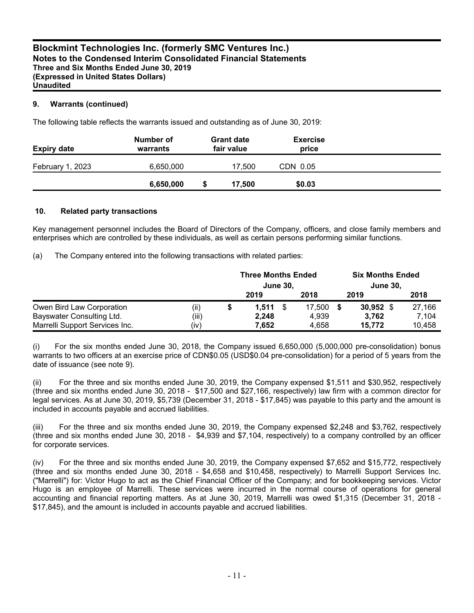## **9. Warrants (continued)**

The following table reflects the warrants issued and outstanding as of June 30, 2019:

| <b>Expiry date</b> | Number of<br>warrants | <b>Grant date</b><br>fair value | <b>Exercise</b><br>price |  |
|--------------------|-----------------------|---------------------------------|--------------------------|--|
| February 1, 2023   | 6,650,000             | 17.500                          | CDN 0.05                 |  |
|                    | 6,650,000             | 17,500                          | \$0.03                   |  |

#### **10. Related party transactions**

Key management personnel includes the Board of Directors of the Company, officers, and close family members and enterprises which are controlled by these individuals, as well as certain persons performing similar functions.

(a) The Company entered into the following transactions with related parties:

|                                |       | <b>Three Months Ended</b><br><b>June 30,</b> |        | <b>Six Months Ended</b><br><b>June 30,</b> |        |
|--------------------------------|-------|----------------------------------------------|--------|--------------------------------------------|--------|
|                                |       | 2019                                         | 2018   | 2019                                       | 2018   |
| Owen Bird Law Corporation      | (ii)  | 1.511                                        | 17.500 | $30,952$ \$                                | 27,166 |
| Bayswater Consulting Ltd.      | (iii) | 2.248                                        | 4.939  | 3.762                                      | 7.104  |
| Marrelli Support Services Inc. | (iv)  | 7,652                                        | 4,658  | 15.772                                     | 10,458 |

(i) For the six months ended June 30, 2018, the Company issued 6,650,000 (5,000,000 pre-consolidation) bonus warrants to two officers at an exercise price of CDN\$0.05 (USD\$0.04 pre-consolidation) for a period of 5 years from the date of issuance (see note 9).

(ii) For the three and six months ended June 30, 2019, the Company expensed \$1,511 and \$30,952, respectively (three and six months ended June 30, 2018 - \$17,500 and \$27,166, respectively) law firm with a common director for legal services. As at June 30, 2019, \$5,739 (December 31, 2018 - \$17,845) was payable to this party and the amount is included in accounts payable and accrued liabilities.

(iii) For the three and six months ended June 30, 2019, the Company expensed \$2,248 and \$3,762, respectively (three and six months ended June 30, 2018 - \$4,939 and \$7,104, respectively) to a company controlled by an officer for corporate services.

(iv) For the three and six months ended June 30, 2019, the Company expensed \$7,652 and \$15,772, respectively (three and six months ended June 30, 2018 - \$4,658 and \$10,458, respectively) to Marrelli Support Services Inc. ("Marrelli") for: Victor Hugo to act as the Chief Financial Officer of the Company; and for bookkeeping services. Victor Hugo is an employee of Marrelli. These services were incurred in the normal course of operations for general accounting and financial reporting matters. As at June 30, 2019, Marrelli was owed \$1,315 (December 31, 2018 - \$17,845), and the amount is included in accounts payable and accrued liabilities.